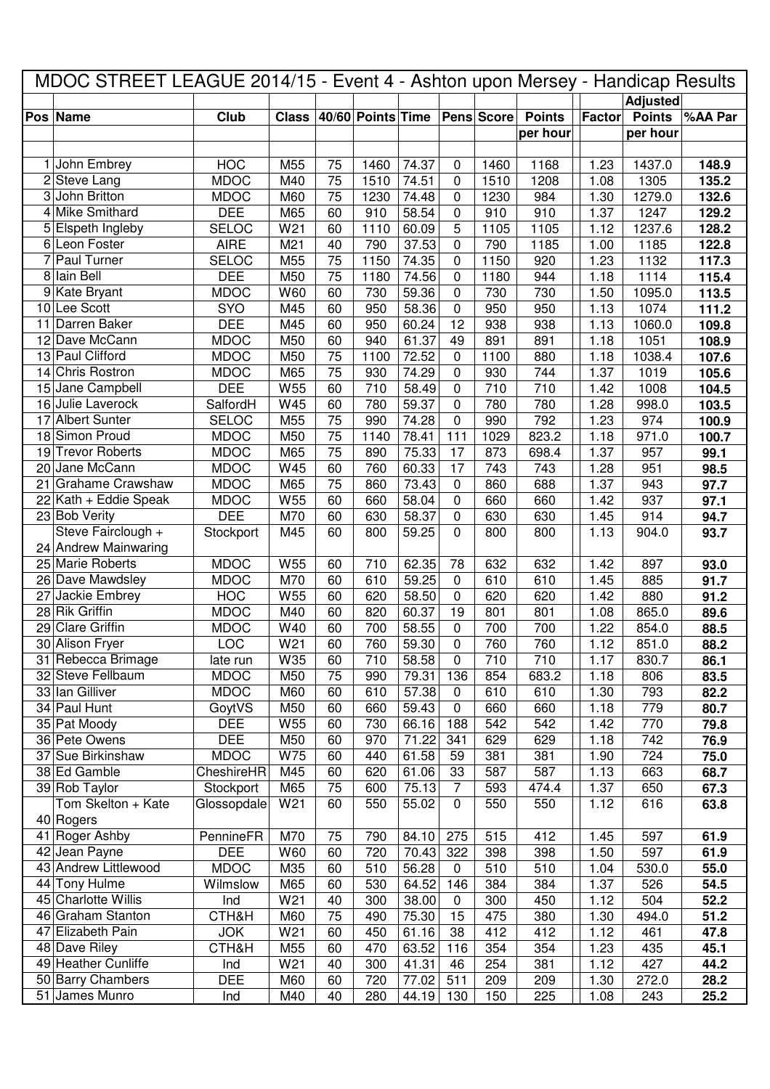|   | MDOC STREET LEAGUE 2014/15 - Event 4 - Ashton upon Mersey - Handicap Results |              |                 |    |                   |       |              |            |               |        |                 |         |
|---|------------------------------------------------------------------------------|--------------|-----------------|----|-------------------|-------|--------------|------------|---------------|--------|-----------------|---------|
|   |                                                                              |              |                 |    |                   |       |              |            |               |        | <b>Adjusted</b> |         |
|   | Pos Name                                                                     | Club         | <b>Class</b>    |    | 40/60 Points Time |       |              | Pens Score | <b>Points</b> | Factor | <b>Points</b>   | %AA Par |
|   |                                                                              |              |                 |    |                   |       |              |            | per hour      |        | per hour        |         |
|   |                                                                              |              |                 |    |                   |       |              |            |               |        |                 |         |
|   | 1 John Embrey                                                                | <b>HOC</b>   | M55             | 75 | 1460              | 74.37 | 0            | 1460       | 1168          | 1.23   | 1437.0          | 148.9   |
|   | 2 Steve Lang                                                                 | <b>MDOC</b>  | M40             | 75 | 1510              | 74.51 | 0            | 1510       | 1208          | 1.08   | 1305            | 135.2   |
|   | 3 John Britton                                                               | <b>MDOC</b>  | M60             | 75 | 1230              | 74.48 | 0            | 1230       | 984           | 1.30   | 1279.0          | 132.6   |
|   | 4 Mike Smithard                                                              | <b>DEE</b>   | M65             | 60 | 910               | 58.54 | 0            | 910        | 910           | 1.37   | 1247            | 129.2   |
|   | 5 Elspeth Ingleby                                                            | <b>SELOC</b> | W21             | 60 | 1110              | 60.09 | 5            | 1105       | 1105          | 1.12   | 1237.6          | 128.2   |
|   | 6 Leon Foster                                                                | <b>AIRE</b>  | M21             | 40 | 790               | 37.53 | 0            | 790        | 1185          | 1.00   | 1185            | 122.8   |
| 7 | Paul Turner                                                                  | <b>SELOC</b> | M55             | 75 | 1150              | 74.35 | 0            | 1150       | 920           | 1.23   | 1132            | 117.3   |
|   | 8 Iain Bell                                                                  | <b>DEE</b>   | M50             | 75 | 1180              | 74.56 | 0            | 1180       | 944           | 1.18   | 1114            | 115.4   |
|   | 9 Kate Bryant                                                                | <b>MDOC</b>  | W60             | 60 | 730               | 59.36 | 0            | 730        | 730           | 1.50   | 1095.0          | 113.5   |
|   | 10 Lee Scott                                                                 | SYO          | M45             | 60 | 950               | 58.36 | 0            | 950        | 950           | 1.13   | 1074            | 111.2   |
|   | 11 Darren Baker                                                              | <b>DEE</b>   | M45             | 60 | 950               | 60.24 | 12           | 938        | 938           | 1.13   | 1060.0          | 109.8   |
|   | 12 Dave McCann                                                               | <b>MDOC</b>  | M50             | 60 | 940               | 61.37 | 49           | 891        | 891           | 1.18   | 1051            | 108.9   |
|   | 13 Paul Clifford                                                             | <b>MDOC</b>  | M50             | 75 | 1100              | 72.52 | 0            | 1100       | 880           | 1.18   | 1038.4          | 107.6   |
|   | 14 Chris Rostron                                                             | <b>MDOC</b>  | M65             | 75 | 930               | 74.29 | 0            | 930        | 744           | 1.37   | 1019            | 105.6   |
|   | 15 Jane Campbell                                                             | <b>DEE</b>   | W55             | 60 | 710               | 58.49 | 0            | 710        | 710           | 1.42   | 1008            | 104.5   |
|   | 16 Julie Laverock                                                            | SalfordH     | W45             | 60 | 780               | 59.37 | 0            | 780        | 780           | 1.28   | 998.0           | 103.5   |
|   | 17 Albert Sunter                                                             | <b>SELOC</b> | M55             | 75 | 990               | 74.28 | 0            | 990        | 792           | 1.23   | 974             | 100.9   |
|   | 18 Simon Proud                                                               | <b>MDOC</b>  | M50             | 75 | 1140              | 78.41 | 111          | 1029       | 823.2         | 1.18   | 971.0           | 100.7   |
|   | 19 Trevor Roberts                                                            | <b>MDOC</b>  | M65             | 75 | 890               | 75.33 | 17           | 873        | 698.4         | 1.37   | 957             | 99.1    |
|   | 20 Jane McCann                                                               | <b>MDOC</b>  | W45             | 60 | 760               | 60.33 | 17           | 743        | 743           | 1.28   | 951             | 98.5    |
|   | 21 Grahame Crawshaw                                                          | <b>MDOC</b>  | M65             | 75 | 860               | 73.43 | 0            | 860        | 688           | 1.37   | 943             | 97.7    |
|   | 22 Kath + Eddie Speak                                                        | <b>MDOC</b>  | W55             | 60 | 660               | 58.04 | 0            | 660        | 660           | 1.42   | 937             | 97.1    |
|   | 23 Bob Verity                                                                | <b>DEE</b>   | M70             | 60 | 630               | 58.37 | 0            | 630        | 630           | 1.45   | 914             | 94.7    |
|   | Steve Fairclough +                                                           | Stockport    | M45             | 60 | 800               | 59.25 | $\mathbf{0}$ | 800        | 800           | 1.13   | 904.0           | 93.7    |
|   | 24 Andrew Mainwaring                                                         |              |                 |    |                   |       |              |            |               |        |                 |         |
|   | 25 Marie Roberts                                                             | <b>MDOC</b>  | W55             | 60 | 710               | 62.35 | 78           | 632        | 632           | 1.42   | 897             | 93.0    |
|   | 26 Dave Mawdsley                                                             | <b>MDOC</b>  | M70             | 60 | 610               | 59.25 | 0            | 610        | 610           | 1.45   | 885             | 91.7    |
|   | 27 Jackie Embrey                                                             | <b>HOC</b>   | W55             | 60 | 620               | 58.50 | 0            | 620        | 620           | 1.42   | 880             | 91.2    |
|   | 28 Rik Griffin                                                               | <b>MDOC</b>  | M40             | 60 | 820               | 60.37 | 19           | 801        | 801           | 1.08   | 865.0           | 89.6    |
|   | 29 Clare Griffin                                                             | <b>MDOC</b>  | W40             | 60 | 700               | 58.55 | 0            | 700        | 700           | 1.22   | 854.0           | 88.5    |
|   | 30 Alison Fryer                                                              | LOC          | W <sub>21</sub> | 60 | 760               | 59.30 | 0            | 760        | 760           | 1.12   | 851.0           | 88.2    |
|   | 31 Rebecca Brimage                                                           | late run     | W35             | 60 | 710               | 58.58 | $\mathbf 0$  | 710        | 710           | 1.17   | 830.7           | 86.1    |
|   | 32 Steve Fellbaum                                                            | <b>MDOC</b>  | M50             | 75 | 990               | 79.31 | 136          | 854        | 683.2         | 1.18   | 806             | 83.5    |
|   | 33 Ian Gilliver                                                              | <b>MDOC</b>  | M60             | 60 | 610               | 57.38 | $\mathbf 0$  | 610        | 610           | 1.30   | 793             | 82.2    |
|   | 34 Paul Hunt                                                                 | GoytVS       | M50             | 60 | 660               | 59.43 | $\pmb{0}$    | 660        | 660           | 1.18   | 779             | 80.7    |
|   | 35 Pat Moody                                                                 | <b>DEE</b>   | W55             | 60 | 730               | 66.16 | 188          | 542        | 542           | 1.42   | 770             | 79.8    |
|   | 36 Pete Owens                                                                | <b>DEE</b>   | M50             | 60 | 970               | 71.22 | 341          | 629        | 629           | 1.18   | 742             | 76.9    |
|   | 37 Sue Birkinshaw                                                            | <b>MDOC</b>  | W75             | 60 | 440               | 61.58 | 59           | 381        | 381           | 1.90   | 724             | 75.0    |
|   | 38 Ed Gamble                                                                 | CheshireHR   | M45             | 60 | 620               | 61.06 | 33           | 587        | 587           | 1.13   | 663             | 68.7    |
|   | 39 Rob Taylor                                                                | Stockport    | M65             | 75 | 600               | 75.13 | 7            | 593        | 474.4         | 1.37   | 650             | 67.3    |
|   | Tom Skelton + Kate                                                           | Glossopdale  | W21             | 60 | 550               | 55.02 | $\mathbf{0}$ | 550        | 550           | 1.12   | 616             | 63.8    |
|   | 40 Rogers                                                                    |              |                 |    |                   |       |              |            |               |        |                 |         |
|   | 41 Roger Ashby                                                               | PennineFR    | M70             | 75 | 790               | 84.10 | 275          | 515        | 412           | 1.45   | 597             | 61.9    |
|   | 42 Jean Payne                                                                | <b>DEE</b>   | W60             | 60 | 720               | 70.43 | 322          | 398        | 398           | 1.50   | 597             | 61.9    |
|   | 43 Andrew Littlewood                                                         | <b>MDOC</b>  | M35             | 60 | 510               | 56.28 | 0            | 510        | 510           | 1.04   | 530.0           | 55.0    |
|   | 44 Tony Hulme                                                                | Wilmslow     | M65             | 60 | 530               | 64.52 | 146          | 384        | 384           | 1.37   | 526             | 54.5    |
|   | 45 Charlotte Willis                                                          | Ind          | W21             | 40 | 300               | 38.00 | 0            | 300        | 450           | 1.12   | 504             | 52.2    |
|   | 46 Graham Stanton                                                            | CTH&H        | M60             | 75 | 490               | 75.30 | 15           | 475        | 380           | 1.30   | 494.0           | 51.2    |
|   | 47 Elizabeth Pain                                                            | <b>JOK</b>   | W21             | 60 | 450               | 61.16 | 38           | 412        | 412           | 1.12   | 461             | 47.8    |
|   | 48 Dave Riley                                                                | CTH&H        | M55             | 60 | 470               | 63.52 | 116          | 354        | 354           | 1.23   | 435             | 45.1    |
|   | 49 Heather Cunliffe                                                          | Ind          | W21             | 40 | 300               | 41.31 | 46           | 254        | 381           | 1.12   | 427             | 44.2    |
|   | 50 Barry Chambers                                                            | <b>DEE</b>   | M60             | 60 | 720               | 77.02 | 511          | 209        | 209           | 1.30   | 272.0           | 28.2    |
|   | 51 James Munro                                                               | Ind          | M40             | 40 | 280               | 44.19 | 130          | 150        | 225           | 1.08   | 243             | 25.2    |
|   |                                                                              |              |                 |    |                   |       |              |            |               |        |                 |         |